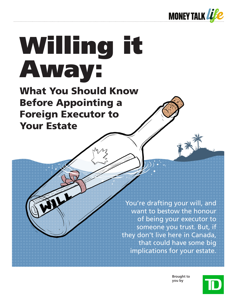

# Willing it Away:

What You Should Know Before Appointing a Foreign Executor to Your Estate

> You're drafting your will, and want to bestow the honour of being your executor to someone you trust. But, if they don't live here in Canada, that could have some big implications for your estate.

> > **Brought to you by**

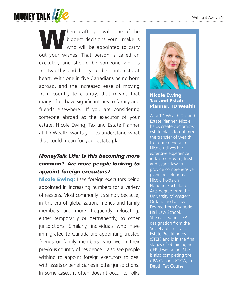

When drafting a will, one of the<br>biggest decisions you'll make is<br>who will be appointed to carry biggest decisions you'll make is who will be appointed to carry out your wishes. That person is called an executor, and should be someone who is trustworthy and has your best interests at heart. With one in five Canadians being born abroad, and the increased ease of moving from country to country, that means that many of us have significant ties to family and friends elsewhere.<sup>1</sup> If you are considering someone abroad as the executor of your estate, Nicole Ewing, Tax and Estate Planner at TD Wealth wants you to understand what that could mean for your estate plan.

### *MoneyTalk Life: Is this becoming more common? Are more people looking to appoint foreign executors?*

Nicole Ewing: I see foreign executors being appointed in increasing numbers for a variety of reasons. Most commonly it's simply because, in this era of globalization, friends and family members are more frequently relocating, either temporarily or permanently, to other jurisdictions. Similarly, individuals who have immigrated to Canada are appointing trusted friends or family members who live in their previous country of residence. I also see people wishing to appoint foreign executors to deal with assets or beneficiaries in other jurisdictions. In some cases, it often doesn't occur to folks



#### Nicole Ewing, Tax and Estate Planner, TD Wealth

As a TD Wealth Tax and Estate Planner, Nicole helps create customized estate plans to optimize the transfer of wealth to future generations. Nicole utilizes her extensive experience in tax, corporate, trust and estate law to provide comprehensive planning solutions. Nicole holds an Honours Bachelor of Arts degree from the University of Western Ontario and a Law Degree from Osgoode Hall Law School. She earned her TEP designation from the Society of Trust and Estate Practitioners (STEP) and is in the final stages of obtaining her CFP designation. She is also completing the CPA Canada (CICA) In-Depth Tax Course.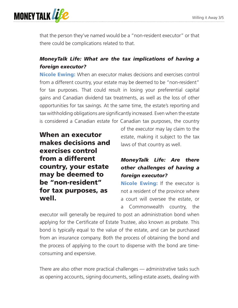

that the person they've named would be a "non-resident executor" or that there could be complications related to that.

#### *MoneyTalk Life: What are the tax implications of having a foreign executor?*

**Nicole Ewing:** When an executor makes decisions and exercises control from a different country, your estate may be deemed to be "non-resident" for tax purposes. That could result in losing your preferential capital gains and Canadian dividend tax treatments, as well as the loss of other opportunities for tax savings. At the same time, the estate's reporting and tax withholding obligations are significantly increased. Even when the estate is considered a Canadian estate for Canadian tax purposes, the country

When an executor makes decisions and exercises control from a different country, your estate may be deemed to be "non-resident" for tax purposes, as well.

of the executor may lay claim to the estate, making it subject to the tax laws of that country as well.

#### *MoneyTalk Life: Are there other challenges of having a foreign executor?*

**Nicole Ewing:** If the executor is not a resident of the province where a court will oversee the estate, or a Commonwealth country, the

executor will generally be required to post an administration bond when applying for the Certificate of Estate Trustee, also known as probate. This bond is typically equal to the value of the estate, and can be purchased from an insurance company. Both the process of obtaining the bond and the process of applying to the court to dispense with the bond are timeconsuming and expensive.

There are also other more practical challenges — administrative tasks such as opening accounts, signing documents, selling estate assets, dealing with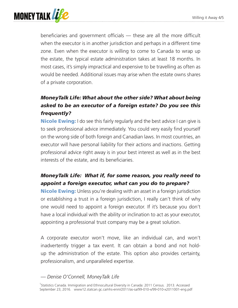

beneficiaries and government officials — these are all the more difficult when the executor is in another jurisdiction and perhaps in a different time zone. Even when the executor is willing to come to Canada to wrap up the estate, the typical estate administration takes at least 18 months. In most cases, it's simply impractical and expensive to be travelling as often as would be needed. Additional issues may arise when the estate owns shares of a private corporation.

## *MoneyTalk Life: What about the other side? What about being asked to be an executor of a foreign estate? Do you see this frequently?*

**Nicole Ewing:** I do see this fairly regularly and the best advice I can give is to seek professional advice immediately. You could very easily find yourself on the wrong side of both foreign and Canadian laws. In most countries, an executor will have personal liability for their actions and inactions. Getting professional advice right away is in your best interest as well as in the best interests of the estate, and its beneficiaries.

#### *MoneyTalk Life: What if, for some reason, you really need to appoint a foreign executor, what can you do to prepare?*

**Nicole Ewing:** Unless you're dealing with an asset in a foreign jurisdiction or establishing a trust in a foreign jurisdiction, I really can't think of why one would need to appoint a foreign executor. If it's because you don't have a local individual with the ability or inclination to act as your executor, appointing a professional trust company may be a great solution.

A corporate executor won't move, like an individual can, and won't inadvertently trigger a tax event. It can obtain a bond and not holdup the administration of the estate. This option also provides certainty, professionalism, and unparalleled expertise.

#### *— Denise O'Connell, MoneyTalk Life*

<sup>1</sup>Statistics Canada. Immigration and Ethnocultural Diversity in Canada: 2011 Census. 2013. Accessed September 23, 2016. www12.statcan.gc.ca/nhs-enm/2011/as-sa/99-010-x/99-010-x2011001-eng.pdf